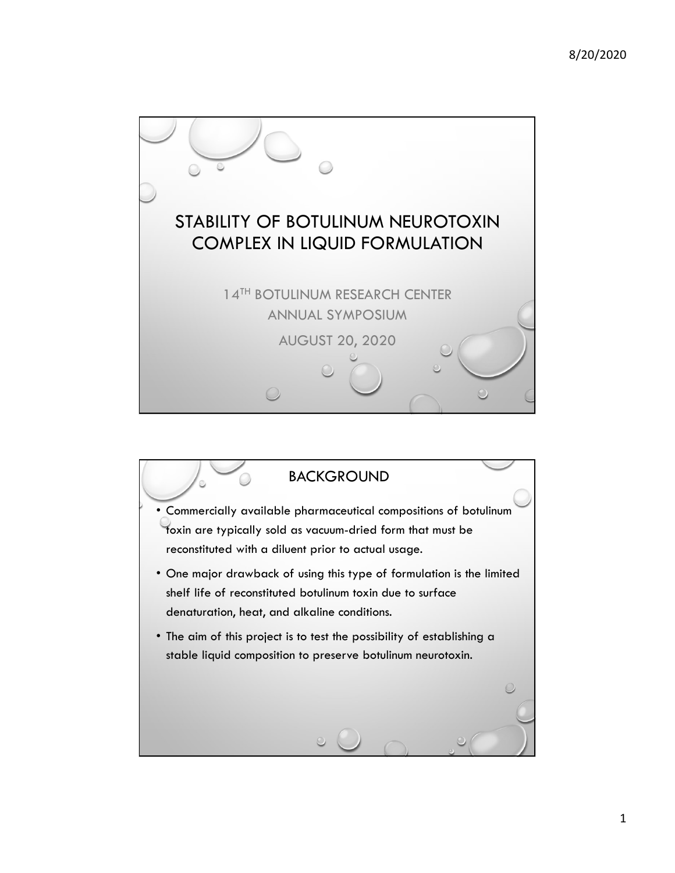

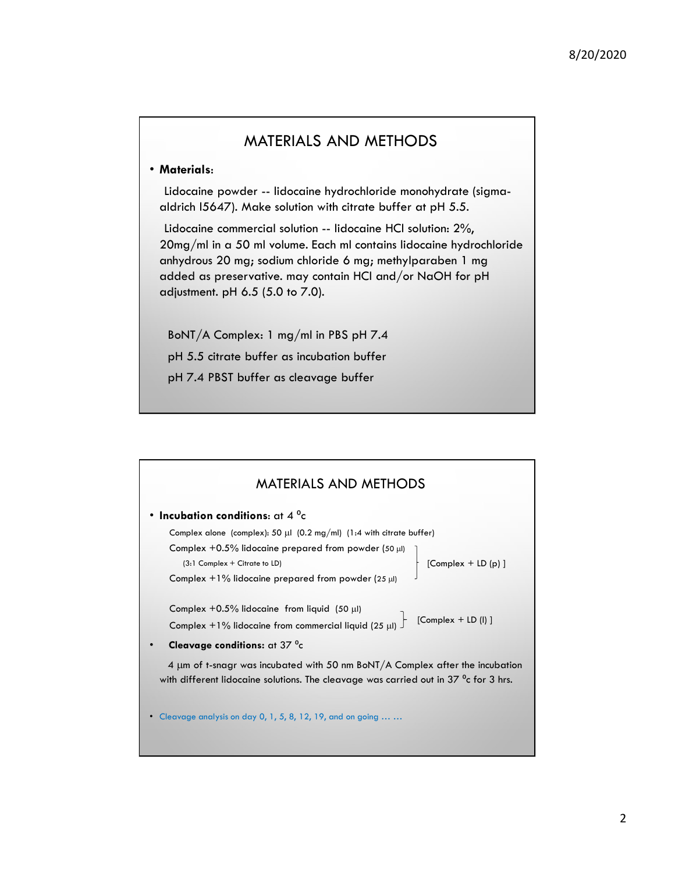## MATERIALS AND METHODS

8/20/2020<br>• Materials:<br>• Lidocaine powder -- lidocaine hydrochloride monohydrate (sigma-<br>• Lidocaine powder -- lidocaine hydrochloride monohydrate (sigma-<br>• Lidocaine commercial solution -- lidocaine HCl solution: 2%,<br>• 20 MATERIALS AND METHODS<br>
Materials:<br>
Lidocaine powder -- lidocaine hydrochloride monohydrate (sigma-<br>
aldrich l5647). Make solution with citrate buffer at pH 5.5.<br>
Lidocaine commercial solution -- lidocaine HCI solution: 2%, 8/20/2020<br>
MATERIALS AND METHODS<br>
Materials:<br>
Lidocaine powder -- lidocaine hydrochloride monohydrate (sigma-<br>
Lidocaine commercial solution -- lidocaine HCl solution: 2%,<br>
Lidocaine commercial solution -- lidocaine HCl so 20mg/ml in a 50 ml volume. Each ml contains lidocaine hydrochloride 8/20/2020<br>
MATERIALS AND METHODS<br>
Materials:<br>
Lidocaine powder -- lidocaine hydrochloride monohydrate (sigma-<br>
aldrich I5647). Make solution with citrate buffer at pH 5.5.<br>
Lidocaine commercial solution -- lidocaine HC I s 8/20/2020<br>
Materials:<br>
Materials:<br>
Lidocaine powder -- lidocaine hydrochloride monohydrate (sigma-<br>
aldrich 15647). Make solution with citrate buffer at pH 5.5.<br>
Lidocaine commercial solution -- lidocaine HCl solution: 2%, adjustment. pH 6.5 (5.0 to 7.0).

BoNT/A Complex: 1 mg/ml in PBS pH 7.4 pH 5.5 citrate buffer as incubation buffer pH 7.4 PBST buffer as cleavage buffer

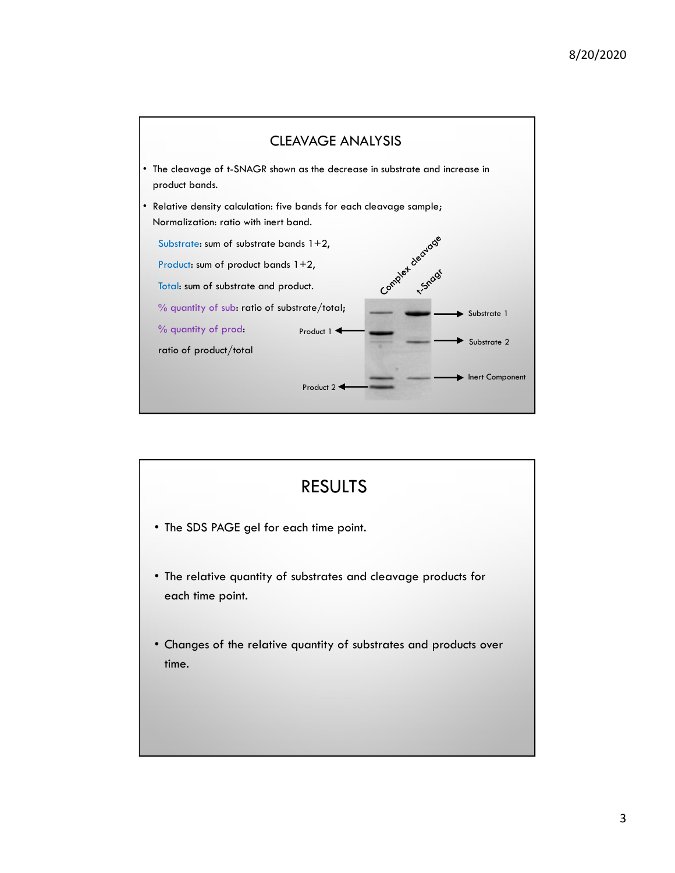

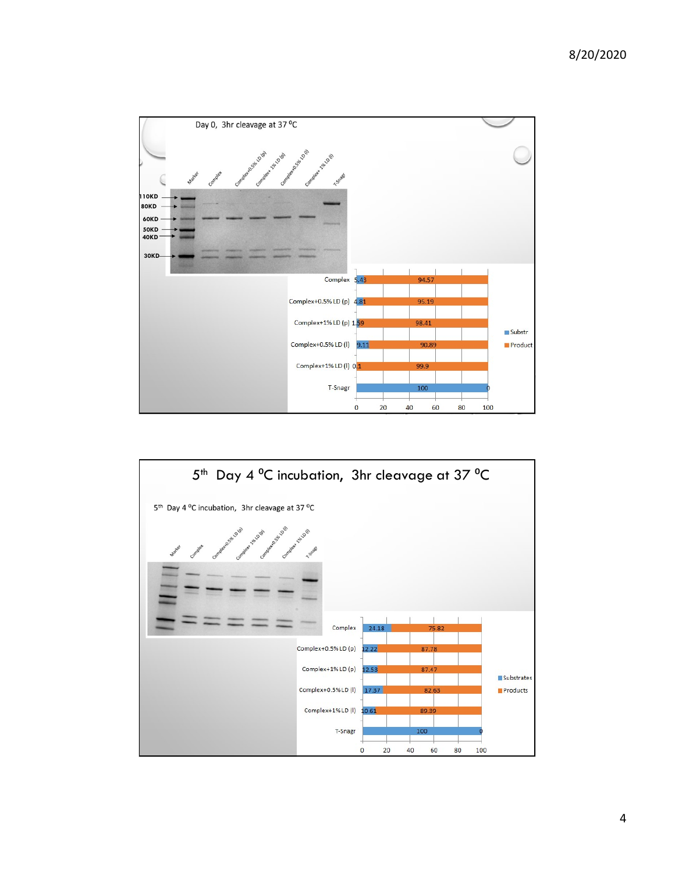

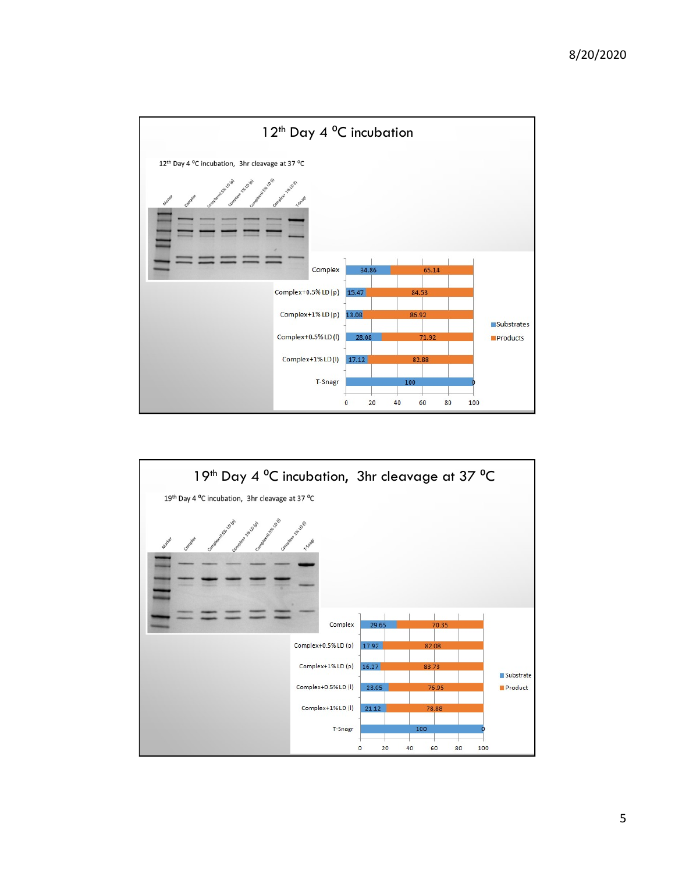

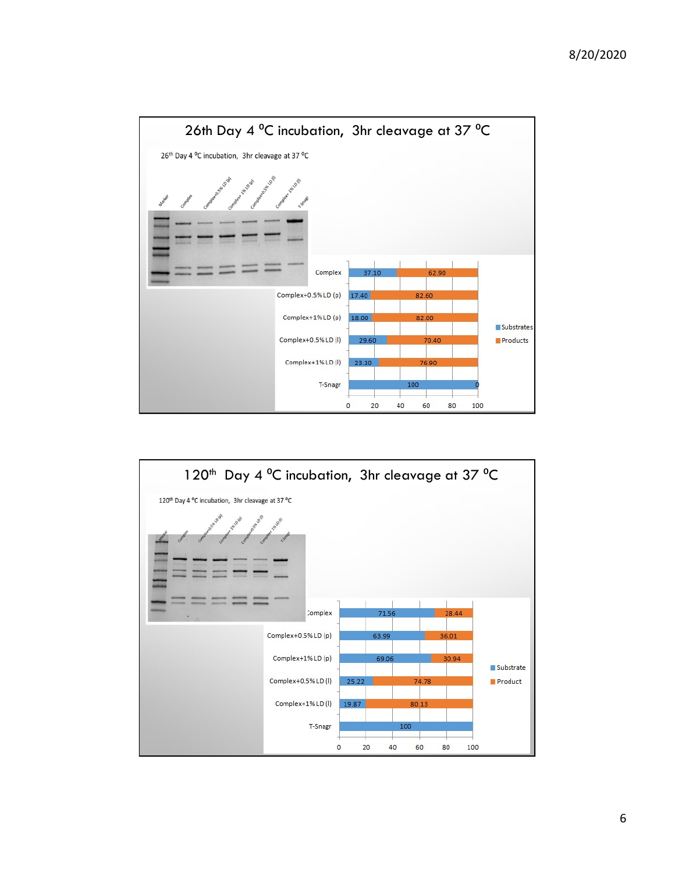

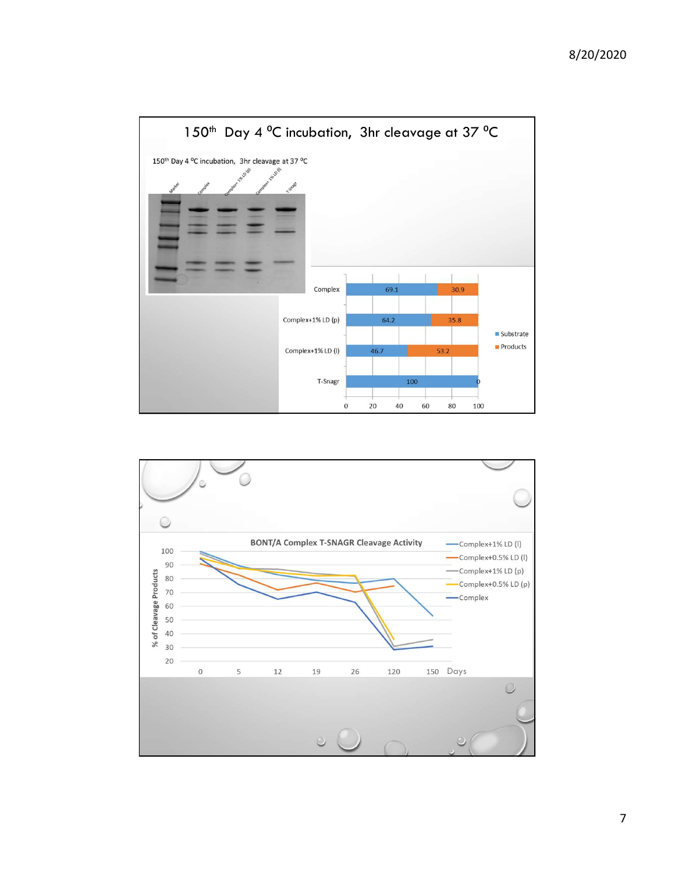